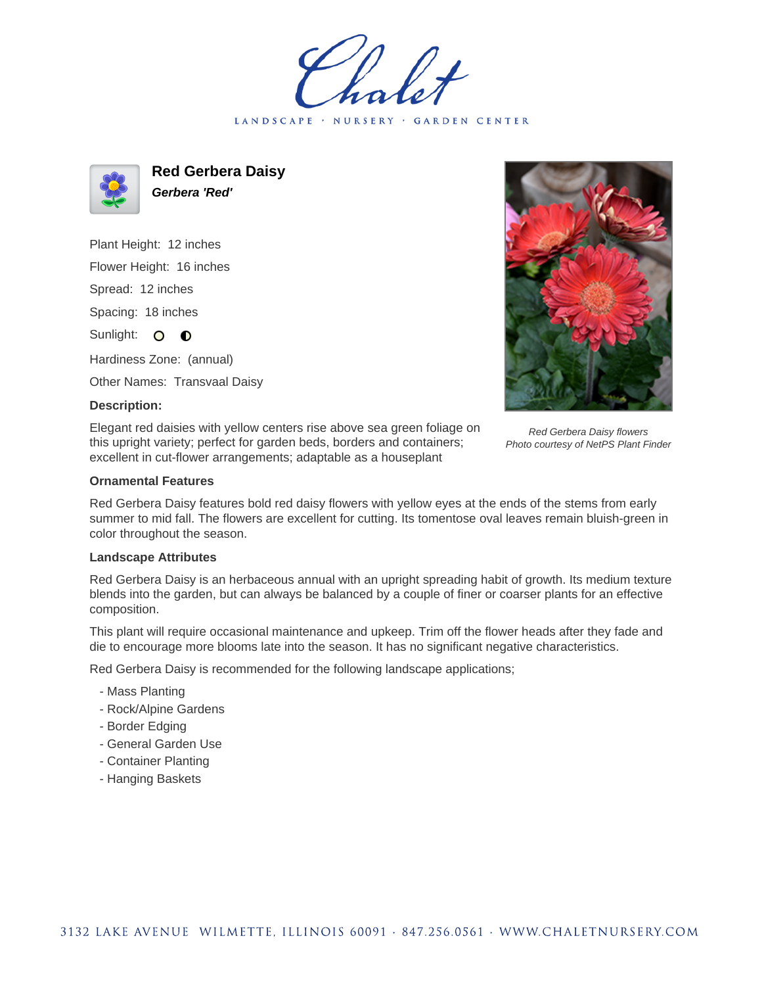LANDSCAPE · NURSERY · GARDEN CENTER



**Red Gerbera Daisy Gerbera 'Red'**

Plant Height: 12 inches Flower Height: 16 inches Spread: 12 inches Spacing: 18 inches Sunlight: O **O** Hardiness Zone: (annual)

Other Names: Transvaal Daisy

## **Description:**

Elegant red daisies with yellow centers rise above sea green foliage on this upright variety; perfect for garden beds, borders and containers; excellent in cut-flower arrangements; adaptable as a houseplant



Red Gerbera Daisy flowers Photo courtesy of NetPS Plant Finder

## **Ornamental Features**

Red Gerbera Daisy features bold red daisy flowers with yellow eyes at the ends of the stems from early summer to mid fall. The flowers are excellent for cutting. Its tomentose oval leaves remain bluish-green in color throughout the season.

## **Landscape Attributes**

Red Gerbera Daisy is an herbaceous annual with an upright spreading habit of growth. Its medium texture blends into the garden, but can always be balanced by a couple of finer or coarser plants for an effective composition.

This plant will require occasional maintenance and upkeep. Trim off the flower heads after they fade and die to encourage more blooms late into the season. It has no significant negative characteristics.

Red Gerbera Daisy is recommended for the following landscape applications;

- Mass Planting
- Rock/Alpine Gardens
- Border Edging
- General Garden Use
- Container Planting
- Hanging Baskets